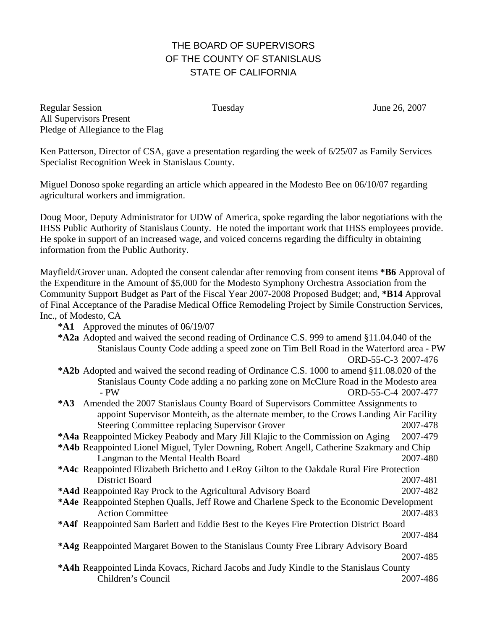# THE BOARD OF SUPERVISORS OF THE COUNTY OF STANISLAUS STATE OF CALIFORNIA

Regular Session Tuesday June 26, 2007 All Supervisors Present Pledge of Allegiance to the Flag

Ken Patterson, Director of CSA, gave a presentation regarding the week of 6/25/07 as Family Services Specialist Recognition Week in Stanislaus County.

Miguel Donoso spoke regarding an article which appeared in the Modesto Bee on 06/10/07 regarding agricultural workers and immigration.

Doug Moor, Deputy Administrator for UDW of America, spoke regarding the labor negotiations with the IHSS Public Authority of Stanislaus County. He noted the important work that IHSS employees provide. He spoke in support of an increased wage, and voiced concerns regarding the difficulty in obtaining information from the Public Authority.

Mayfield/Grover unan. Adopted the consent calendar after removing from consent items **\*B6** Approval of the Expenditure in the Amount of \$5,000 for the Modesto Symphony Orchestra Association from the Community Support Budget as Part of the Fiscal Year 2007-2008 Proposed Budget; and, **\*B14** Approval of Final Acceptance of the Paradise Medical Office Remodeling Project by Simile Construction Services, Inc., of Modesto, CA

- **\*A1** Approved the minutes of 06/19/07
- **\*A2a** Adopted and waived the second reading of Ordinance C.S. 999 to amend §11.04.040 of the Stanislaus County Code adding a speed zone on Tim Bell Road in the Waterford area - PW ORD-55-C-3 2007-476
- **\*A2b** Adopted and waived the second reading of Ordinance C.S. 1000 to amend §11.08.020 of the Stanislaus County Code adding a no parking zone on McClure Road in the Modesto area - PW ORD-55-C-4 2007-477
- **\*A3** Amended the 2007 Stanislaus County Board of Supervisors Committee Assignments to appoint Supervisor Monteith, as the alternate member, to the Crows Landing Air Facility Steering Committee replacing Supervisor Grover 2007-478
- **\*A4a** Reappointed Mickey Peabody and Mary Jill Klajic to the Commission on Aging 2007-479
- **\*A4b** Reappointed Lionel Miguel, Tyler Downing, Robert Angell, Catherine Szakmary and Chip Langman to the Mental Health Board 2007-480
- **\*A4c** Reappointed Elizabeth Brichetto and LeRoy Gilton to the Oakdale Rural Fire Protection District Board 2007-481
- **\*A4d** Reappointed Ray Prock to the Agricultural Advisory Board 2007-482
- **\*A4e** Reappointed Stephen Qualls, Jeff Rowe and Charlene Speck to the Economic Development Action Committee 2007-483
- **\*A4f** Reappointed Sam Barlett and Eddie Best to the Keyes Fire Protection District Board
- 2007-484 **\*A4g** Reappointed Margaret Bowen to the Stanislaus County Free Library Advisory Board 2007-485
- **\*A4h** Reappointed Linda Kovacs, Richard Jacobs and Judy Kindle to the Stanislaus County Children's Council 2007-486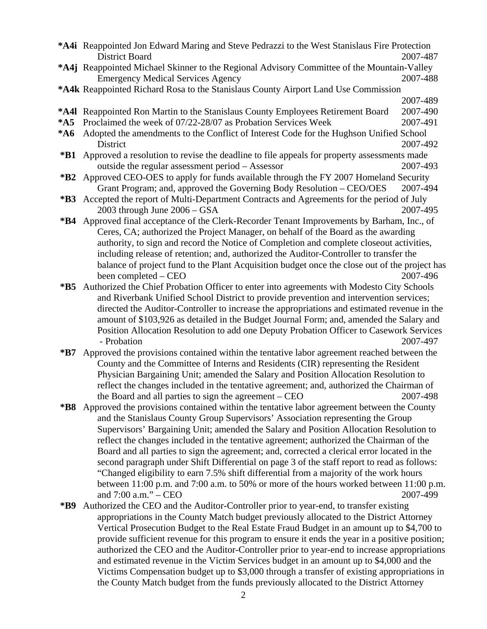|             | <b>*A4i</b> Reappointed Jon Edward Maring and Steve Pedrazzi to the West Stanislaus Fire Protection |                                                                                            |  |
|-------------|-----------------------------------------------------------------------------------------------------|--------------------------------------------------------------------------------------------|--|
|             | District Board                                                                                      | 2007-487                                                                                   |  |
|             | *A4j Reappointed Michael Skinner to the Regional Advisory Committee of the Mountain-Valley          |                                                                                            |  |
|             | <b>Emergency Medical Services Agency</b>                                                            | 2007-488                                                                                   |  |
|             | *A4k Reappointed Richard Rosa to the Stanislaus County Airport Land Use Commission                  |                                                                                            |  |
|             |                                                                                                     | 2007-489                                                                                   |  |
|             | *A4I Reappointed Ron Martin to the Stanislaus County Employees Retirement Board                     | 2007-490                                                                                   |  |
| $*$ A5      | Proclaimed the week of 07/22-28/07 as Probation Services Week                                       | 2007-491                                                                                   |  |
| $*AG$       | Adopted the amendments to the Conflict of Interest Code for the Hughson Unified School              |                                                                                            |  |
|             | District                                                                                            | 2007-492                                                                                   |  |
| *B1         | Approved a resolution to revise the deadline to file appeals for property assessments made          |                                                                                            |  |
|             | outside the regular assessment period – Assessor                                                    | 2007-493                                                                                   |  |
| $*B2$       | Approved CEO-OES to apply for funds available through the FY 2007 Homeland Security                 |                                                                                            |  |
|             | Grant Program; and, approved the Governing Body Resolution – CEO/OES                                | 2007-494                                                                                   |  |
| $*B3$       | Accepted the report of Multi-Department Contracts and Agreements for the period of July             |                                                                                            |  |
|             | 2003 through June $2006 - GSA$                                                                      | 2007-495                                                                                   |  |
| $*B4$       | Approved final acceptance of the Clerk-Recorder Tenant Improvements by Barham, Inc., of             |                                                                                            |  |
|             | Ceres, CA; authorized the Project Manager, on behalf of the Board as the awarding                   |                                                                                            |  |
|             | authority, to sign and record the Notice of Completion and complete closeout activities,            |                                                                                            |  |
|             | including release of retention; and, authorized the Auditor-Controller to transfer the              |                                                                                            |  |
|             | balance of project fund to the Plant Acquisition budget once the close out of the project has       |                                                                                            |  |
|             | been completed – CEO                                                                                | 2007-496                                                                                   |  |
| $*B5$       | Authorized the Chief Probation Officer to enter into agreements with Modesto City Schools           |                                                                                            |  |
|             | and Riverbank Unified School District to provide prevention and intervention services;              |                                                                                            |  |
|             | directed the Auditor-Controller to increase the appropriations and estimated revenue in the         |                                                                                            |  |
|             | amount of \$103,926 as detailed in the Budget Journal Form; and, amended the Salary and             |                                                                                            |  |
|             | Position Allocation Resolution to add one Deputy Probation Officer to Casework Services             |                                                                                            |  |
|             | - Probation                                                                                         | 2007-497                                                                                   |  |
| $*{\bf B7}$ |                                                                                                     | Approved the provisions contained within the tentative labor agreement reached between the |  |
|             | County and the Committee of Interns and Residents (CIR) representing the Resident                   |                                                                                            |  |
|             | Physician Bargaining Unit; amended the Salary and Position Allocation Resolution to                 |                                                                                            |  |
|             | reflect the changes included in the tentative agreement; and, authorized the Chairman of            |                                                                                            |  |
|             | the Board and all parties to sign the agreement $-$ CEO                                             | 2007-498                                                                                   |  |
| $*B8$       | Approved the provisions contained within the tentative labor agreement between the County           |                                                                                            |  |
|             | and the Stanislaus County Group Supervisors' Association representing the Group                     |                                                                                            |  |
|             | Supervisors' Bargaining Unit; amended the Salary and Position Allocation Resolution to              |                                                                                            |  |
|             | reflect the changes included in the tentative agreement; authorized the Chairman of the             |                                                                                            |  |
|             | Board and all parties to sign the agreement; and, corrected a clerical error located in the         |                                                                                            |  |
|             | second paragraph under Shift Differential on page 3 of the staff report to read as follows:         |                                                                                            |  |
|             | "Changed eligibility to earn 7.5% shift differential from a majority of the work hours              |                                                                                            |  |
|             | between 11:00 p.m. and 7:00 a.m. to 50% or more of the hours worked between 11:00 p.m.              |                                                                                            |  |
|             | and $7:00$ a.m." $-$ CEO                                                                            | 2007-499                                                                                   |  |
| *B9         | Authorized the CEO and the Auditor-Controller prior to year-end, to transfer existing               |                                                                                            |  |
|             | appropriations in the County Match budget previously allocated to the District Attorney             |                                                                                            |  |

appropriations in the County Match budget previously allocated to the District Attorney Vertical Prosecution Budget to the Real Estate Fraud Budget in an amount up to \$4,700 to provide sufficient revenue for this program to ensure it ends the year in a positive position; authorized the CEO and the Auditor-Controller prior to year-end to increase appropriations and estimated revenue in the Victim Services budget in an amount up to \$4,000 and the Victims Compensation budget up to \$3,000 through a transfer of existing appropriations in the County Match budget from the funds previously allocated to the District Attorney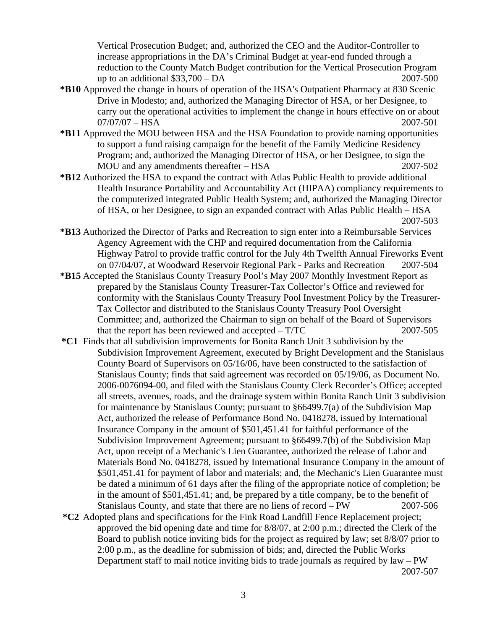Vertical Prosecution Budget; and, authorized the CEO and the Auditor-Controller to increase appropriations in the DA's Criminal Budget at year-end funded through a reduction to the County Match Budget contribution for the Vertical Prosecution Program up to an additional \$33,700 – DA 2007-500

- **\*B10** Approved the change in hours of operation of the HSA's Outpatient Pharmacy at 830 Scenic Drive in Modesto; and, authorized the Managing Director of HSA, or her Designee, to carry out the operational activities to implement the change in hours effective on or about 07/07/07 – HSA 2007-501
- **\*B11** Approved the MOU between HSA and the HSA Foundation to provide naming opportunities to support a fund raising campaign for the benefit of the Family Medicine Residency Program; and, authorized the Managing Director of HSA, or her Designee, to sign the MOU and any amendments thereafter – HSA 2007-502
- **\*B12** Authorized the HSA to expand the contract with Atlas Public Health to provide additional Health Insurance Portability and Accountability Act (HIPAA) compliancy requirements to the computerized integrated Public Health System; and, authorized the Managing Director of HSA, or her Designee, to sign an expanded contract with Atlas Public Health – HSA 2007-503
- **\*B13** Authorized the Director of Parks and Recreation to sign enter into a Reimbursable Services Agency Agreement with the CHP and required documentation from the California Highway Patrol to provide traffic control for the July 4th Twelfth Annual Fireworks Event on 07/04/07, at Woodward Reservoir Regional Park - Parks and Recreation 2007-504
- **\*B15** Accepted the Stanislaus County Treasury Pool's May 2007 Monthly Investment Report as prepared by the Stanislaus County Treasurer-Tax Collector's Office and reviewed for conformity with the Stanislaus County Treasury Pool Investment Policy by the Treasurer-Tax Collector and distributed to the Stanislaus County Treasury Pool Oversight Committee; and, authorized the Chairman to sign on behalf of the Board of Supervisors that the report has been reviewed and accepted  $-\text{T/TC}$  2007-505
- **\*C1** Finds that all subdivision improvements for Bonita Ranch Unit 3 subdivision by the Subdivision Improvement Agreement, executed by Bright Development and the Stanislaus County Board of Supervisors on 05/16/06, have been constructed to the satisfaction of Stanislaus County; finds that said agreement was recorded on 05/19/06, as Document No. 2006-0076094-00, and filed with the Stanislaus County Clerk Recorder's Office; accepted all streets, avenues, roads, and the drainage system within Bonita Ranch Unit 3 subdivision for maintenance by Stanislaus County; pursuant to §66499.7(a) of the Subdivision Map Act, authorized the release of Performance Bond No. 0418278, issued by International Insurance Company in the amount of \$501,451.41 for faithful performance of the Subdivision Improvement Agreement; pursuant to §66499.7(b) of the Subdivision Map Act, upon receipt of a Mechanic's Lien Guarantee, authorized the release of Labor and Materials Bond No. 0418278, issued by International Insurance Company in the amount of \$501,451.41 for payment of labor and materials; and, the Mechanic's Lien Guarantee must be dated a minimum of 61 days after the filing of the appropriate notice of completion; be in the amount of \$501,451.41; and, be prepared by a title company, be to the benefit of Stanislaus County, and state that there are no liens of record – PW 2007-506
- **\*C2** Adopted plans and specifications for the Fink Road Landfill Fence Replacement project; approved the bid opening date and time for 8/8/07, at 2:00 p.m.; directed the Clerk of the Board to publish notice inviting bids for the project as required by law; set 8/8/07 prior to 2:00 p.m., as the deadline for submission of bids; and, directed the Public Works Department staff to mail notice inviting bids to trade journals as required by law – PW 2007-507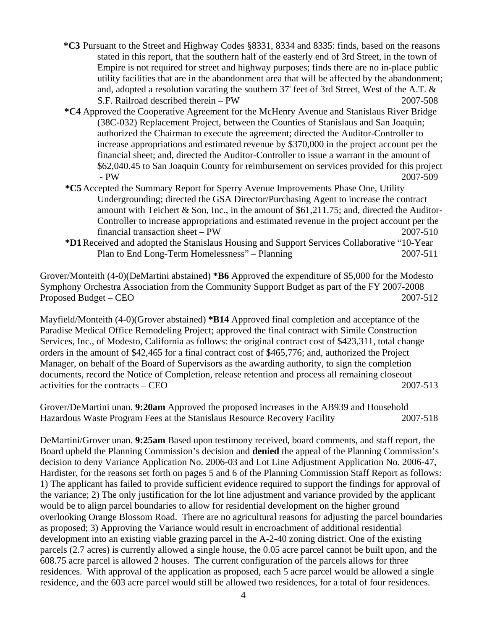- **\*C3** Pursuant to the Street and Highway Codes §8331, 8334 and 8335: finds, based on the reasons stated in this report, that the southern half of the easterly end of 3rd Street, in the town of Empire is not required for street and highway purposes; finds there are no in-place public utility facilities that are in the abandonment area that will be affected by the abandonment; and, adopted a resolution vacating the southern 37' feet of 3rd Street, West of the A.T. & S.F. Railroad described therein – PW 2007-508
- **\*C4** Approved the Cooperative Agreement for the McHenry Avenue and Stanislaus River Bridge (38C-032) Replacement Project, between the Counties of Stanislaus and San Joaquin; authorized the Chairman to execute the agreement; directed the Auditor-Controller to increase appropriations and estimated revenue by \$370,000 in the project account per the financial sheet; and, directed the Auditor-Controller to issue a warrant in the amount of \$62,040.45 to San Joaquin County for reimbursement on services provided for this project - PW 2007-509
- **\*C5** Accepted the Summary Report for Sperry Avenue Improvements Phase One, Utility Undergrounding; directed the GSA Director/Purchasing Agent to increase the contract amount with Teichert & Son, Inc., in the amount of \$61,211.75; and, directed the Auditor-Controller to increase appropriations and estimated revenue in the project account per the financial transaction sheet – PW 2007-510
- **\*D1** Received and adopted the Stanislaus Housing and Support Services Collaborative "10-Year Plan to End Long-Term Homelessness" – Planning 2007-511

Grover/Monteith (4-0)(DeMartini abstained) **\*B6** Approved the expenditure of \$5,000 for the Modesto Symphony Orchestra Association from the Community Support Budget as part of the FY 2007-2008 Proposed Budget – CEO 2007-512

Mayfield/Monteith (4-0)(Grover abstained) **\*B14** Approved final completion and acceptance of the Paradise Medical Office Remodeling Project; approved the final contract with Simile Construction Services, Inc., of Modesto, California as follows: the original contract cost of \$423,311, total change orders in the amount of \$42,465 for a final contract cost of \$465,776; and, authorized the Project Manager, on behalf of the Board of Supervisors as the awarding authority, to sign the completion documents, record the Notice of Completion, release retention and process all remaining closeout activities for the contracts – CEO 2007-513

Grover/DeMartini unan. **9:20am** Approved the proposed increases in the AB939 and Household Hazardous Waste Program Fees at the Stanislaus Resource Recovery Facility 2007-518

DeMartini/Grover unan. **9:25am** Based upon testimony received, board comments, and staff report, the Board upheld the Planning Commission's decision and **denied** the appeal of the Planning Commission's decision to deny Variance Application No. 2006-03 and Lot Line Adjustment Application No. 2006-47, Hardister, for the reasons set forth on pages 5 and 6 of the Planning Commission Staff Report as follows: 1) The applicant has failed to provide sufficient evidence required to support the findings for approval of the variance; 2) The only justification for the lot line adjustment and variance provided by the applicant would be to align parcel boundaries to allow for residential development on the higher ground overlooking Orange Blossom Road. There are no agricultural reasons for adjusting the parcel boundaries as proposed; 3) Approving the Variance would result in encroachment of additional residential development into an existing viable grazing parcel in the A-2-40 zoning district. One of the existing parcels (2.7 acres) is currently allowed a single house, the 0.05 acre parcel cannot be built upon, and the 608.75 acre parcel is allowed 2 houses. The current configuration of the parcels allows for three residences. With approval of the application as proposed, each 5 acre parcel would be allowed a single residence, and the 603 acre parcel would still be allowed two residences, for a total of four residences.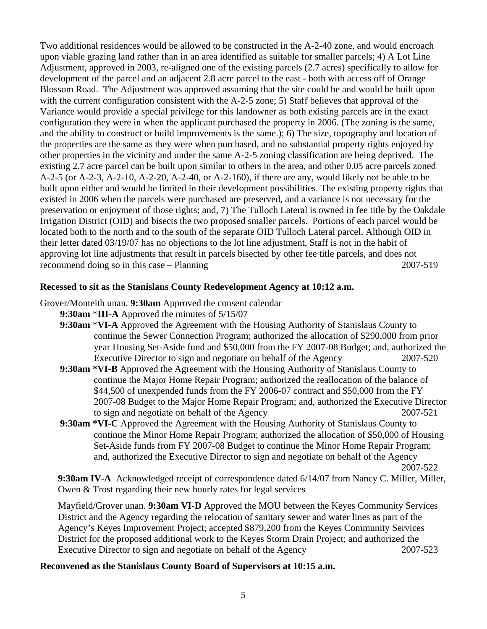Two additional residences would be allowed to be constructed in the A-2-40 zone, and would encroach upon viable grazing land rather than in an area identified as suitable for smaller parcels; 4) A Lot Line Adjustment, approved in 2003, re-aligned one of the existing parcels (2.7 acres) specifically to allow for development of the parcel and an adjacent 2.8 acre parcel to the east - both with access off of Orange Blossom Road. The Adjustment was approved assuming that the site could be and would be built upon with the current configuration consistent with the A-2-5 zone; 5) Staff believes that approval of the Variance would provide a special privilege for this landowner as both existing parcels are in the exact configuration they were in when the applicant purchased the property in 2006. (The zoning is the same, and the ability to construct or build improvements is the same.); 6) The size, topography and location of the properties are the same as they were when purchased, and no substantial property rights enjoyed by other properties in the vicinity and under the same A-2-5 zoning classification are being deprived. The existing 2.7 acre parcel can be built upon similar to others in the area, and other 0.05 acre parcels zoned A-2-5 (or A-2-3, A-2-10, A-2-20, A-2-40, or A-2-160), if there are any, would likely not be able to be built upon either and would be limited in their development possibilities. The existing property rights that existed in 2006 when the parcels were purchased are preserved, and a variance is not necessary for the preservation or enjoyment of those rights; and, 7) The Tulloch Lateral is owned in fee title by the Oakdale Irrigation District (OID) and bisects the two proposed smaller parcels. Portions of each parcel would be located both to the north and to the south of the separate OID Tulloch Lateral parcel. Although OID in their letter dated 03/19/07 has no objections to the lot line adjustment, Staff is not in the habit of approving lot line adjustments that result in parcels bisected by other fee title parcels, and does not recommend doing so in this case – Planning 2007-519

### **Recessed to sit as the Stanislaus County Redevelopment Agency at 10:12 a.m.**

Grover/Monteith unan. **9:30am** Approved the consent calendar

- **9:30am** \***III-A** Approved the minutes of 5/15/07
- **9:30am** \***VI-A** Approved the Agreement with the Housing Authority of Stanislaus County to continue the Sewer Connection Program; authorized the allocation of \$290,000 from prior year Housing Set-Aside fund and \$50,000 from the FY 2007-08 Budget; and, authorized the Executive Director to sign and negotiate on behalf of the Agency 2007-520
- **9:30am \*VI-B** Approved the Agreement with the Housing Authority of Stanislaus County to continue the Major Home Repair Program; authorized the reallocation of the balance of \$44,500 of unexpended funds from the FY 2006-07 contract and \$50,000 from the FY 2007-08 Budget to the Major Home Repair Program; and, authorized the Executive Director to sign and negotiate on behalf of the Agency 2007-521
- **9:30am \*VI-C** Approved the Agreement with the Housing Authority of Stanislaus County to continue the Minor Home Repair Program; authorized the allocation of \$50,000 of Housing Set-Aside funds from FY 2007-08 Budget to continue the Minor Home Repair Program; and, authorized the Executive Director to sign and negotiate on behalf of the Agency 2007-522

**9:30am IV-A** Acknowledged receipt of correspondence dated 6/14/07 from Nancy C. Miller, Miller, Owen & Trost regarding their new hourly rates for legal services

Mayfield/Grover unan. **9:30am VI-D** Approved the MOU between the Keyes Community Services District and the Agency regarding the relocation of sanitary sewer and water lines as part of the Agency's Keyes Improvement Project; accepted \$879,200 from the Keyes Community Services District for the proposed additional work to the Keyes Storm Drain Project; and authorized the Executive Director to sign and negotiate on behalf of the Agency 2007-523

#### **Reconvened as the Stanislaus County Board of Supervisors at 10:15 a.m.**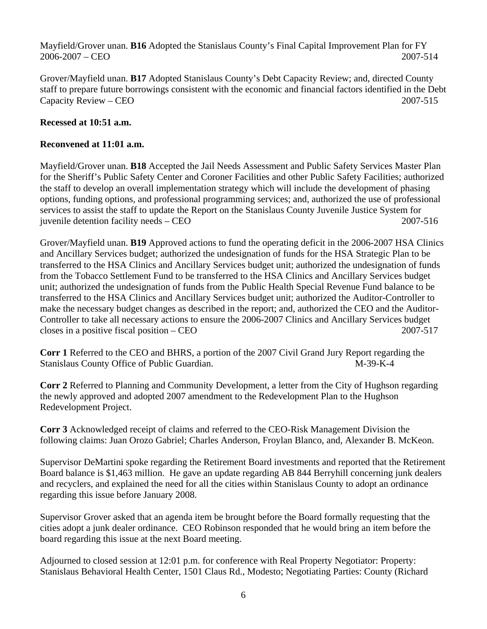Mayfield/Grover unan. **B16** Adopted the Stanislaus County's Final Capital Improvement Plan for FY 2006-2007 – CEO 2007-514

Grover/Mayfield unan. **B17** Adopted Stanislaus County's Debt Capacity Review; and, directed County staff to prepare future borrowings consistent with the economic and financial factors identified in the Debt Capacity Review – CEO 2007-515

## **Recessed at 10:51 a.m.**

## **Reconvened at 11:01 a.m.**

Mayfield/Grover unan. **B18** Accepted the Jail Needs Assessment and Public Safety Services Master Plan for the Sheriff's Public Safety Center and Coroner Facilities and other Public Safety Facilities; authorized the staff to develop an overall implementation strategy which will include the development of phasing options, funding options, and professional programming services; and, authorized the use of professional services to assist the staff to update the Report on the Stanislaus County Juvenile Justice System for juvenile detention facility needs – CEO 2007-516

Grover/Mayfield unan. **B19** Approved actions to fund the operating deficit in the 2006-2007 HSA Clinics and Ancillary Services budget; authorized the undesignation of funds for the HSA Strategic Plan to be transferred to the HSA Clinics and Ancillary Services budget unit; authorized the undesignation of funds from the Tobacco Settlement Fund to be transferred to the HSA Clinics and Ancillary Services budget unit; authorized the undesignation of funds from the Public Health Special Revenue Fund balance to be transferred to the HSA Clinics and Ancillary Services budget unit; authorized the Auditor-Controller to make the necessary budget changes as described in the report; and, authorized the CEO and the Auditor-Controller to take all necessary actions to ensure the 2006-2007 Clinics and Ancillary Services budget closes in a positive fiscal position – CEO 2007-517

**Corr 1** Referred to the CEO and BHRS, a portion of the 2007 Civil Grand Jury Report regarding the Stanislaus County Office of Public Guardian. M-39-K-4

**Corr 2** Referred to Planning and Community Development, a letter from the City of Hughson regarding the newly approved and adopted 2007 amendment to the Redevelopment Plan to the Hughson Redevelopment Project.

**Corr 3** Acknowledged receipt of claims and referred to the CEO-Risk Management Division the following claims: Juan Orozo Gabriel; Charles Anderson, Froylan Blanco, and, Alexander B. McKeon.

Supervisor DeMartini spoke regarding the Retirement Board investments and reported that the Retirement Board balance is \$1,463 million. He gave an update regarding AB 844 Berryhill concerning junk dealers and recyclers, and explained the need for all the cities within Stanislaus County to adopt an ordinance regarding this issue before January 2008.

Supervisor Grover asked that an agenda item be brought before the Board formally requesting that the cities adopt a junk dealer ordinance. CEO Robinson responded that he would bring an item before the board regarding this issue at the next Board meeting.

Adjourned to closed session at 12:01 p.m. for conference with Real Property Negotiator: Property: Stanislaus Behavioral Health Center, 1501 Claus Rd., Modesto; Negotiating Parties: County (Richard